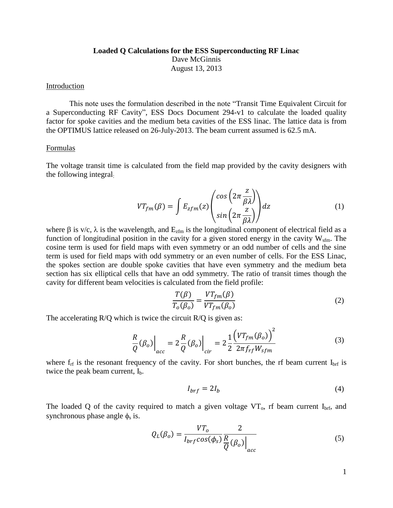## **Loaded Q Calculations for the ESS Superconducting RF Linac** Dave McGinnis August 13, 2013

## Introduction

This note uses the formulation described in the note "Transit Time Equivalent Circuit for a Superconducting RF Cavity", ESS Docs Document 294-v1 to calculate the loaded quality factor for spoke cavities and the medium beta cavities of the ESS linac. The lattice data is from the OPTIMUS lattice released on 26-July-2013. The beam current assumed is 62.5 mA.

## Formulas

The voltage transit time is calculated from the field map provided by the cavity designers with the following integral:

$$
VT_{fm}(\beta) = \int E_{zfm}(z) \begin{pmatrix} \cos\left(2\pi \frac{z}{\beta \lambda}\right) \\ \sin\left(2\pi \frac{z}{\beta \lambda}\right) \end{pmatrix} dz \tag{1}
$$

where  $\beta$  is v/c,  $\lambda$  is the wavelength, and  $E_{zfm}$  is the longitudinal component of electrical field as a function of longitudinal position in the cavity for a given stored energy in the cavity  $W_{\text{sfm}}$ . The cosine term is used for field maps with even symmetry or an odd number of cells and the sine term is used for field maps with odd symmetry or an even number of cells. For the ESS Linac, the spokes section are double spoke cavities that have even symmetry and the medium beta section has six elliptical cells that have an odd symmetry. The ratio of transit times though the cavity for different beam velocities is calculated from the field profile:

$$
\frac{T(\beta)}{T_o(\beta_o)} = \frac{VT_{fm}(\beta)}{VT_{fm}(\beta_o)}
$$
\n(2)

The accelerating R/O which is twice the circuit R/O is given as:

$$
\frac{R}{Q}(\beta_o)\Big|_{acc} = 2\frac{R}{Q}(\beta_o)\Big|_{cir} = 2\frac{1}{2}\frac{(VT_{fm}(\beta_o))^2}{2\pi f_{rf}W_{sfm}}
$$
(3)

where  $f_{\text{rf}}$  is the resonant frequency of the cavity. For short bunches, the rf beam current  $I_{\text{brf}}$  is twice the peak beam current,  $I<sub>b</sub>$ .

$$
I_{brf} = 2I_b \tag{4}
$$

The loaded Q of the cavity required to match a given voltage  $VT_0$ , rf beam current I<sub>brf</sub>, and synchronous phase angle  $\phi_s$  is.

$$
Q_L(\beta_o) = \frac{VT_o}{I_{brf}cos(\phi_s)} \frac{2}{\frac{R}{Q}(\beta_o)}\Big|_{acc}
$$
 (5)

1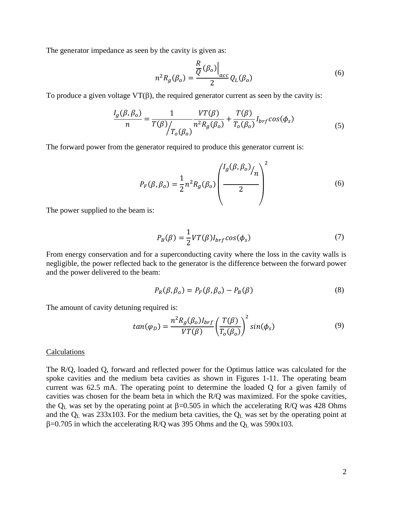The generator impedance as seen by the cavity is given as:

$$
n^2 R_g(\beta_o) = \frac{\frac{R}{Q}(\beta_o)}{2} Q_L(\beta_o)
$$
\n<sup>(6)</sup>

To produce a given voltage  $VT(\beta)$ , the required generator current as seen by the cavity is:

$$
\frac{I_g(\beta, \beta_o)}{n} = \frac{1}{T(\beta)} \frac{VT(\beta)}{n^2 R_g(\beta_o)} + \frac{T(\beta)}{T_o(\beta_o)} I_{brf} \cos(\phi_s)
$$
(5)

The forward power from the generator required to produce this generator current is:

$$
P_F(\beta, \beta_o) = \frac{1}{2} n^2 R_g(\beta_o) \left( \frac{I_g(\beta, \beta_o)}{2} \right)^2 \tag{6}
$$

The power supplied to the beam is:

$$
P_B(\beta) = \frac{1}{2} V T(\beta) I_{brf} \cos(\phi_s)
$$
\n(7)

From energy conservation and for a superconducting cavity where the loss in the cavity walls is negligible, the power reflected back to the generator is the difference between the forward power and the power delivered to the beam:

$$
P_R(\beta, \beta_o) = P_F(\beta, \beta_o) - P_B(\beta)
$$
\n(8)

The amount of cavity detuning required is:

$$
tan(\varphi_D) = \frac{n^2 R_g(\beta_o) I_{brf}}{VT(\beta)} \left(\frac{T(\beta)}{T_o(\beta_o)}\right)^2 sin(\phi_s)
$$
(9)

## **Calculations**

The R/Q, loaded Q, forward and reflected power for the Optimus lattice was calculated for the spoke cavities and the medium beta cavities as shown in Figures 1-11. The operating beam current was 62.5 mA. The operating point to determine the loaded Q for a given family of cavities was chosen for the beam beta in which the R/Q was maximized. For the spoke cavities, the  $Q_L$  was set by the operating point at  $\beta$ =0.505 in which the accelerating R/Q was 428 Ohms and the  $Q_L$  was 233x103. For the medium beta cavities, the  $Q_L$  was set by the operating point at  $\beta$ =0.705 in which the accelerating R/Q was 395 Ohms and the Q<sub>L</sub> was 590x103.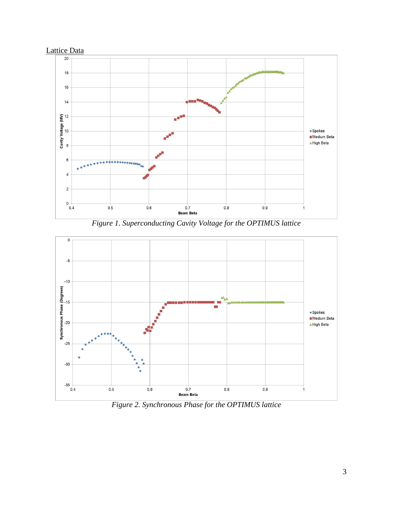

*Figure 1. Superconducting Cavity Voltage for the OPTIMUS lattice*



*Figure 2. Synchronous Phase for the OPTIMUS lattice*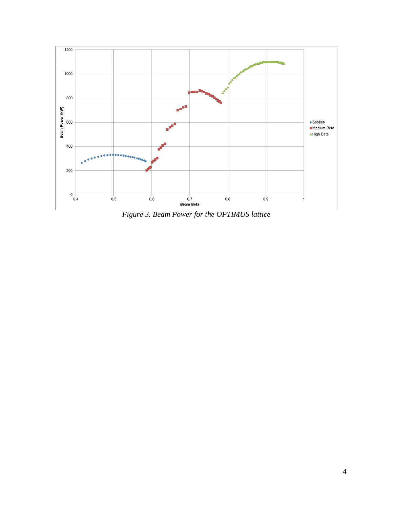

*Figure 3. Beam Power for the OPTIMUS lattice*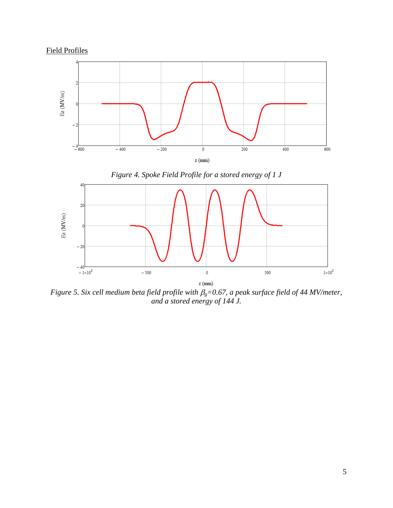



*Figure 5. Six cell medium beta field profile with*  $\beta$ *<sub>g</sub>=0.67, a peak surface field of 44 MV/meter, and a stored energy of 144 J.*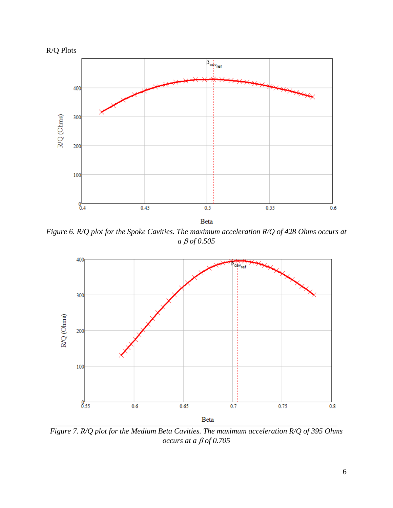

*Figure 6. R/Q plot for the Spoke Cavities. The maximum acceleration R/Q of 428 Ohms occurs at a of 0.505*



*Figure 7. R/Q plot for the Medium Beta Cavities. The maximum acceleration R/Q of 395 Ohms occurs at a of 0.705*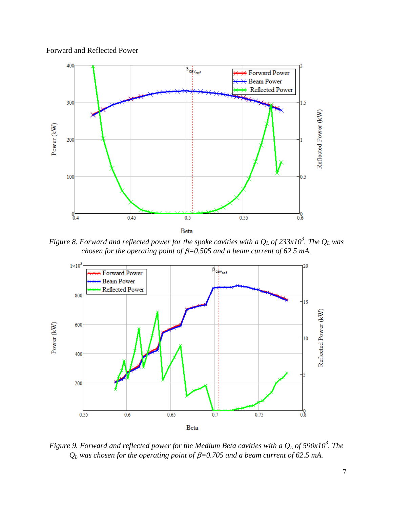



*Figure 8. Forward and reflected power for the spoke cavities with a Q<sup>L</sup> of 233x10<sup>3</sup> . The Q<sup>L</sup> was chosen for the operating point of*  $\beta$ *=0.505 and a beam current of 62.5 mA.* 



*Figure 9. Forward and reflected power for the Medium Beta cavities with a Q<sup>L</sup> of 590x10<sup>3</sup> . The*   $Q_L$  was chosen for the operating point of  $\beta = 0.705$  and a beam current of 62.5 mA.